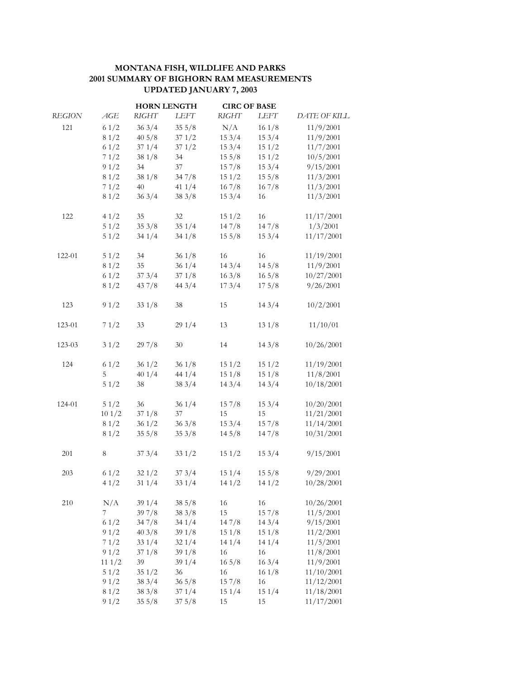## **MONTANA FISH, WILDLIFE AND PARKS 2001 SUMMARY OF BIGHORN RAM MEASUREMENTS UPDATED JANUARY 7, 2003**

|               |         | <b>HORN LENGTH</b> |        | <b>CIRC OF BASE</b> |                 |              |
|---------------|---------|--------------------|--------|---------------------|-----------------|--------------|
| <b>REGION</b> | AGE     | <b>RIGHT</b>       | LEFT   | <b>RIGHT</b>        | LEFT            | DATE OF KILL |
| 121           | 61/2    | 363/4              | 355/8  | N/A                 | 161/8           | 11/9/2001    |
|               | 81/2    | 405/8              | 371/2  | 153/4               | 153/4           | 11/9/2001    |
|               | 61/2    | 371/4              | 371/2  | 153/4               | 151/2           | 11/7/2001    |
|               | 71/2    | 381/8              | 34     | 155/8               | 151/2           | 10/5/2001    |
|               | 91/2    | 34                 | $37\,$ | 157/8               | 153/4           | 9/15/2001    |
|               | 81/2    | 381/8              | 347/8  | 151/2               | 155/8           | 11/3/2001    |
|               | 71/2    | 40                 | 411/4  | 167/8               | 167/8           | 11/3/2001    |
|               | 81/2    | 363/4              | 383/8  | 153/4               | 16              | 11/3/2001    |
| 122           | 41/2    | 35                 | 32     | 151/2               | 16              | 11/17/2001   |
|               | 51/2    | 353/8              | 351/4  | 147/8               | 147/8           | 1/3/2001     |
|               | 51/2    | 341/4              | 341/8  | 155/8               | 153/4           | 11/17/2001   |
| 122-01        | 51/2    | 34                 | 361/8  | 16                  | 16              | 11/19/2001   |
|               | 81/2    | 35                 | 361/4  | 143/4               | 145/8           | 11/9/2001    |
|               | 61/2    | 373/4              | 371/8  | 163/8               | $16\frac{5}{8}$ | 10/27/2001   |
|               | 81/2    | $43\,7/8$          | 443/4  | 173/4               | 175/8           | 9/26/2001    |
| 123           | 91/2    | 331/8              | 38     | 15                  | 143/4           | 10/2/2001    |
| 123-01        | 71/2    | 33                 | 291/4  | 13                  | 131/8           | 11/10/01     |
| 123-03        | 31/2    | 297/8              | 30     | 14                  | 143/8           | 10/26/2001   |
| 124           | 61/2    | 361/2              | 361/8  | 151/2               | 151/2           | 11/19/2001   |
|               | 5       | 401/4              | 44 1/4 | 151/8               | 151/8           | 11/8/2001    |
|               | 51/2    | 38                 | 383/4  | 143/4               | 143/4           | 10/18/2001   |
| 124-01        | 51/2    | 36                 | 361/4  | 157/8               | 153/4           | 10/20/2001   |
|               | 101/2   | 371/8              | $37\,$ | 15                  | 15              | 11/21/2001   |
|               | 81/2    | 361/2              | 363/8  | 153/4               | 157/8           | 11/14/2001   |
|               | 81/2    | 355/8              | 353/8  | 145/8               | 147/8           | 10/31/2001   |
| 201           | $\,8\,$ | 373/4              | 331/2  | 151/2               | 153/4           | 9/15/2001    |
| 203           | 61/2    | 321/2              | 373/4  | 151/4               | 155/8           | 9/29/2001    |
|               | 41/2    | 311/4              | 331/4  | 141/2               | 141/2           | 10/28/2001   |
| 210           | N/A     | 391/4              | 385/8  | 16                  | 16              | 10/26/2001   |
|               | 7       | 397/8              | 383/8  | 15                  | 157/8           | 11/5/2001    |
|               | 61/2    | 347/8              | 341/4  | 147/8               | 143/4           | 9/15/2001    |
|               | 91/2    | 403/8              | 391/8  | 151/8               | 151/8           | 11/2/2001    |
|               | 71/2    | 331/4              | 321/4  | 141/4               | 141/4           | 11/5/2001    |
|               | 91/2    | 371/8              | 391/8  | 16                  | 16              | 11/8/2001    |
|               | 111/2   | 39                 | 391/4  | $16\frac{5}{8}$     | 163/4           | 11/9/2001    |
|               | 51/2    | 351/2              | 36     | 16                  | 161/8           | 11/10/2001   |
|               | 91/2    | 383/4              | 365/8  | 157/8               | 16              | 11/12/2001   |
|               | 81/2    | 383/8              | 371/4  | 151/4               | 151/4           | 11/18/2001   |
|               | 91/2    | 355/8              | 375/8  | 15                  | 15              | 11/17/2001   |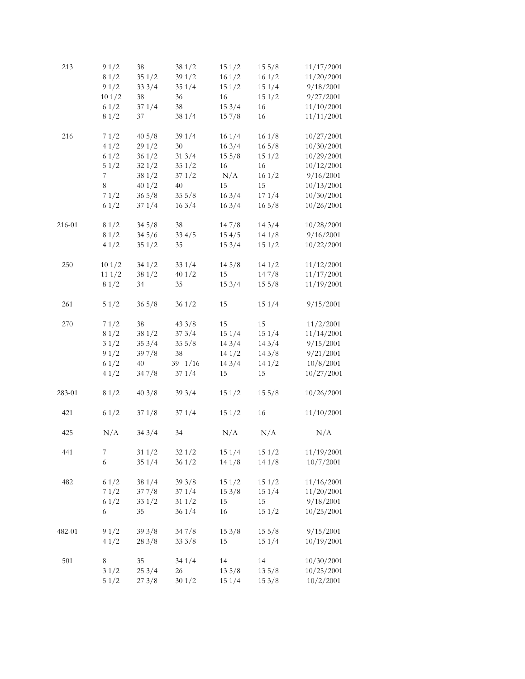| 213    | 91/2  | 38    | 381/2       | 151/2 | 155/8           | 11/17/2001 |
|--------|-------|-------|-------------|-------|-----------------|------------|
|        | 81/2  | 351/2 | 391/2       | 161/2 | 161/2           | 11/20/2001 |
|        | 91/2  | 333/4 | 351/4       | 151/2 | 151/4           | 9/18/2001  |
|        | 101/2 | 38    | 36          | 16    | 151/2           | 9/27/2001  |
|        | 61/2  | 371/4 | 38          | 153/4 | 16              | 11/10/2001 |
|        | 81/2  | 37    | 38 1/4      | 157/8 | 16              | 11/11/2001 |
| 216    | 71/2  | 405/8 | 391/4       | 161/4 | 161/8           | 10/27/2001 |
|        | 41/2  | 291/2 | 30          | 163/4 | $16\frac{5}{8}$ | 10/30/2001 |
|        | 61/2  | 361/2 | 313/4       | 155/8 | 151/2           | 10/29/2001 |
|        | 51/2  | 321/2 | 351/2       | 16    | 16              | 10/12/2001 |
|        | 7     | 381/2 | 371/2       | N/A   | 161/2           | 9/16/2001  |
|        | 8     | 401/2 | 40          | 15    | 15              | 10/13/2001 |
|        | 71/2  | 365/8 | 355/8       | 163/4 | 171/4           | 10/30/2001 |
|        | 61/2  | 371/4 | 163/4       | 163/4 | $16\frac{5}{8}$ | 10/26/2001 |
| 216-01 | 81/2  | 345/8 | 38          | 147/8 | 143/4           | 10/28/2001 |
|        | 81/2  | 345/6 | 334/5       | 154/5 | 141/8           | 9/16/2001  |
|        | 41/2  | 351/2 | 35          | 153/4 | 151/2           | 10/22/2001 |
| 250    | 101/2 | 341/2 | 331/4       | 145/8 | 141/2           | 11/12/2001 |
|        | 111/2 | 381/2 | 401/2       | 15    | 147/8           | 11/17/2001 |
|        | 81/2  | 34    | 35          | 153/4 | 155/8           | 11/19/2001 |
| 261    | 51/2  | 365/8 | 361/2       | 15    | 151/4           | 9/15/2001  |
| 270    | 71/2  | 38    | 433/8       | 15    | 15              | 11/2/2001  |
|        | 81/2  | 381/2 | 373/4       | 151/4 | 151/4           | 11/14/2001 |
|        | 31/2  | 353/4 | 355/8       | 143/4 | 143/4           | 9/15/2001  |
|        | 91/2  | 397/8 | 38          | 141/2 | 143/8           | 9/21/2001  |
|        | 61/2  | 40    | $39 \t1/16$ | 143/4 | 141/2           | 10/8/2001  |
|        | 41/2  | 347/8 | 371/4       | 15    | 15              | 10/27/2001 |
| 283-01 | 81/2  | 403/8 | 393/4       | 151/2 | 155/8           | 10/26/2001 |
| 421    | 61/2  | 371/8 | 371/4       | 151/2 | 16              | 11/10/2001 |
| 425    | N/A   | 343/4 | 34          | N/A   | N/A             | N/A        |
| 441    | 7     | 311/2 | 321/2       | 151/4 | 151/2           | 11/19/2001 |
|        | 6     | 351/4 | 361/2       | 141/8 | 141/8           | 10/7/2001  |
| 482    | 61/2  | 381/4 | 393/8       | 151/2 | 151/2           | 11/16/2001 |
|        | 71/2  | 377/8 | 371/4       | 153/8 | 151/4           | 11/20/2001 |
|        | 61/2  | 331/2 | 311/2       | 15    | 15              | 9/18/2001  |
|        | 6     | 35    | 361/4       | 16    | 151/2           | 10/25/2001 |
| 482-01 | 91/2  | 393/8 | 347/8       | 153/8 | 155/8           | 9/15/2001  |
|        | 41/2  | 283/8 | 333/8       | 15    | 151/4           | 10/19/2001 |
| 501    | 8     | 35    | 341/4       | 14    | 14              | 10/30/2001 |
|        | 31/2  | 253/4 | 26          | 135/8 | 135/8           | 10/25/2001 |
|        | 51/2  | 273/8 | 301/2       | 151/4 | 153/8           | 10/2/2001  |